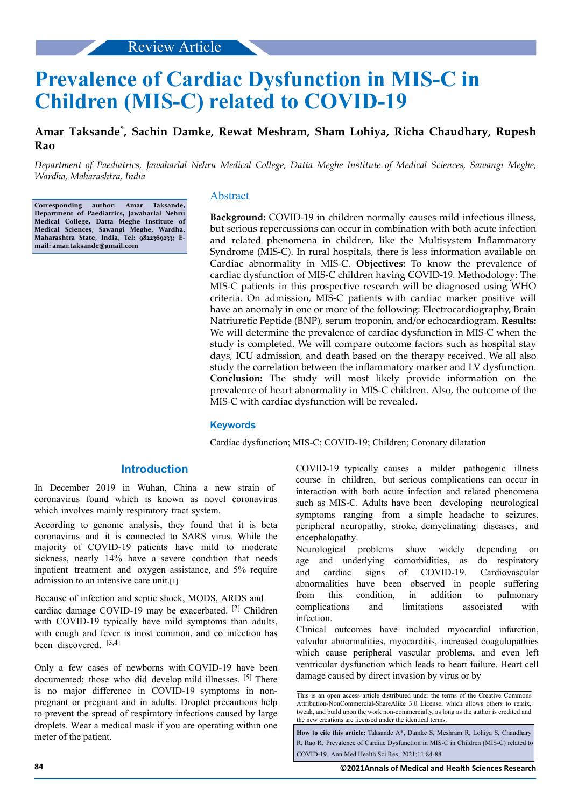# **Prevalence of Cardiac Dysfunction in MIS-C in Children (MIS-C) related to COVID-19**

# **Amar Taksande\* , Sachin Damke, Rewat Meshram, Sham Lohiya, Richa Chaudhary, Rupesh Rao**

*Department of Paediatrics, Jawaharlal Nehru Medical College, Datta Meghe Institute of Medical Sciences, Sawangi Meghe, Wardha, Maharashtra, India*

**Corresponding author: Amar Taksande, Department of Paediatrics, Jawaharlal Nehru Medical College, Datta Meghe Institute of Medical Sciences, Sawangi Meghe, Wardha, Maharashtra State, India, Tel: 9822369233; Email: amar.taksande@gmail.com**

#### Abstract

**Background:** COVID-19 in children normally causes mild infectious illness, but serious repercussions can occur in combination with both acute infection and related phenomena in children, like the Multisystem Inflammatory Syndrome (MIS-C). In rural hospitals, there is less information available on Cardiac abnormality in MIS-C. **Objectives:** To know the prevalence of cardiac dysfunction of MIS-C children having COVID-19. Methodology: The MIS-C patients in this prospective research will be diagnosed using WHO criteria. On admission, MIS-C patients with cardiac marker positive will have an anomaly in one or more of the following: Electrocardiography, Brain Natriuretic Peptide (BNP), serum troponin, and/or echocardiogram. **Results:** We will determine the prevalence of cardiac dysfunction in MIS-C when the study is completed. We will compare outcome factors such as hospital stay days, ICU admission, and death based on the therapy received. We all also study the correlation between the inflammatory marker and LV dysfunction. **Conclusion:** The study will most likely provide information on the prevalence of heart abnormality in MIS-C children. Also, the outcome of the MIS-C with cardiac dysfunction will be revealed.

#### **Keywords**

Cardiac dysfunction; MIS-C; COVID-19; Children; Coronary dilatation

## **Introduction**

In December 2019 in Wuhan, China a new strain of coronavirus found which is known as novel coronavirus which involves mainly respiratory tract system.

According to genome analysis, they found that it is beta coronavirus and it is connected to SARS virus. While the majority of COVID-19 patients have mild to moderate sickness, nearly 14% have a severe condition that needs inpatient treatment and oxygen assistance, and 5% require admission to an intensive care unit.[1]

Because of infection and septic shock, MODS, ARDS and cardiac damage COVID-19 may be exacerbated. [2] Children with COVID-19 typically have mild symptoms than adults, with cough and fever is most common, and co infection has been discovered. [3,4]

Only a few cases of newborns with COVID-19 have been documented; those who did develop mild illnesses. [5] There is no major difference in COVID-19 symptoms in nonpregnant or pregnant and in adults. Droplet precautions help to prevent the spread of respiratory infections caused by large droplets. Wear a medical mask if you are operating within one meter of the patient.

COVID-19 typically causes a milder pathogenic illness course in children, but serious complications can occur in interaction with both acute infection and related phenomena such as MIS-C. Adults have been developing neurological symptoms ranging from a simple headache to seizures, peripheral neuropathy, stroke, demyelinating diseases, and encephalopathy.

Neurological problems show widely depending on age and underlying comorbidities, as do respiratory and cardiac signs of COVID-19. Cardiovascular abnormalities have been observed in people suffering from this condition, in addition to pulmonary complications and limitations associated with infection.

Clinical outcomes have included myocardial infarction, valvular abnormalities, myocarditis, increased coagulopathies which cause peripheral vascular problems, and even left ventricular dysfunction which leads to heart failure. Heart cell damage caused by direct invasion by virus or by

This is an open access article distributed under the terms of the Creative Commons Attribution-NonCommercial-ShareAlike 3.0 License, which allows others to remix, tweak, and build upon the work non‑commercially, as long as the author is credited and the new creations are licensed under the identical terms.

**How to cite this article:** Taksande A\*, Damke S, Meshram R, Lohiya S, Chaudhary R, Rao R. Prevalence of Cardiac Dysfunction in MIS-C in Children (MIS-C) related to COVID-19. Ann Med Health Sci Res. 2021;11:84-88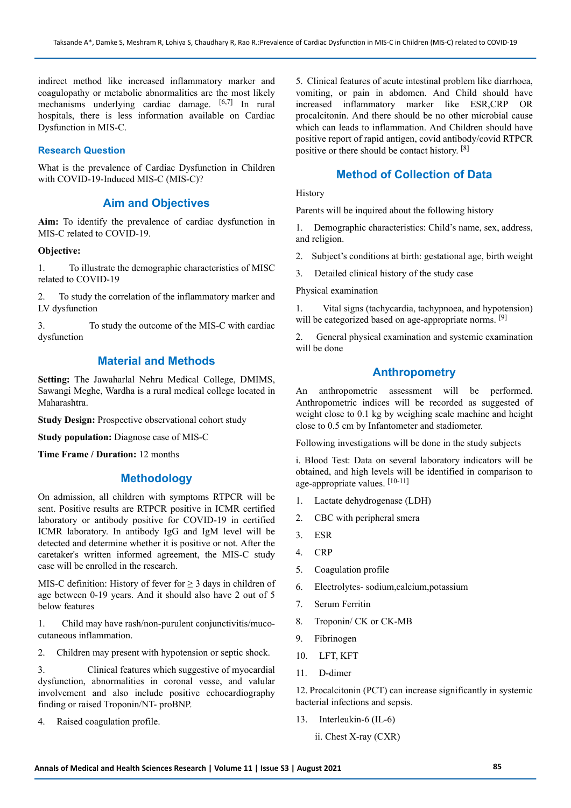indirect method like increased inflammatory marker and coagulopathy or metabolic abnormalities are the most likely mechanisms underlying cardiac damage. [6,7] In rural hospitals, there is less information available on Cardiac Dysfunction in MIS-C.

#### **Research Question**

What is the prevalence of Cardiac Dysfunction in Children with COVID-19-Induced MIS-C (MIS-C)?

## **Aim and Objectives**

**Aim:** To identify the prevalence of cardiac dysfunction in MIS-C related to COVID-19.

#### **Objective:**

1. To illustrate the demographic characteristics of MISC related to COVID-19

2. To study the correlation of the inflammatory marker and LV dysfunction

3. To study the outcome of the MIS-C with cardiac dysfunction

#### **Material and Methods**

**Setting:** The Jawaharlal Nehru Medical College, DMIMS, Sawangi Meghe, Wardha is a rural medical college located in Maharashtra.

**Study Design:** Prospective observational cohort study

**Study population:** Diagnose case of MIS-C

**Time Frame / Duration:** 12 months

## **Methodology**

On admission, all children with symptoms RTPCR will be sent. Positive results are RTPCR positive in ICMR certified laboratory or antibody positive for COVID-19 in certified ICMR laboratory. In antibody IgG and IgM level will be detected and determine whether it is positive or not. After the caretaker's written informed agreement, the MIS-C study case will be enrolled in the research.

MIS-C definition: History of fever for  $\geq$  3 days in children of age between 0-19 years. And it should also have 2 out of 5 below features

1. Child may have rash/non-purulent conjunctivitis/mucocutaneous inflammation.

2. Children may present with hypotension or septic shock.

3. Clinical features which suggestive of myocardial dysfunction, abnormalities in coronal vesse, and valular involvement and also include positive echocardiography finding or raised Troponin/NT- proBNP.

4. Raised coagulation profile.

5. Clinical features of acute intestinal problem like diarrhoea, vomiting, or pain in abdomen. And Child should have increased inflammatory marker like ESR,CRP OR procalcitonin. And there should be no other microbial cause which can leads to inflammation. And Children should have positive report of rapid antigen, covid antibody/covid RTPCR positive or there should be contact history. [8]

# **Method of Collection of Data**

History

Parents will be inquired about the following history

1. Demographic characteristics: Child's name, sex, address, and religion.

2. Subject's conditions at birth: gestational age, birth weight

3. Detailed clinical history of the study case

Physical examination

1. Vital signs (tachycardia, tachypnoea, and hypotension) will be categorized based on age-appropriate norms. [9]

2. General physical examination and systemic examination will be done

# **Anthropometry**

An anthropometric assessment will be performed. Anthropometric indices will be recorded as suggested of weight close to 0.1 kg by weighing scale machine and height close to 0.5 cm by Infantometer and stadiometer.

Following investigations will be done in the study subjects

i. Blood Test: Data on several laboratory indicators will be obtained, and high levels will be identified in comparison to age-appropriate values. [10-11]

- 1. Lactate dehydrogenase (LDH)
- 2. CBC with peripheral smera
- 3. ESR
- 4. CRP
- 5. Coagulation profile
- 6. Electrolytes- sodium,calcium,potassium
- 7. Serum Ferritin
- 8. Troponin/ CK or CK-MB
- 9. Fibrinogen
- 10. LFT, KFT
- 11. D-dimer

12. Procalcitonin (PCT) can increase significantly in systemic bacterial infections and sepsis.

- 13. Interleukin-6 (IL-6)
	- ii. Chest X-ray (CXR)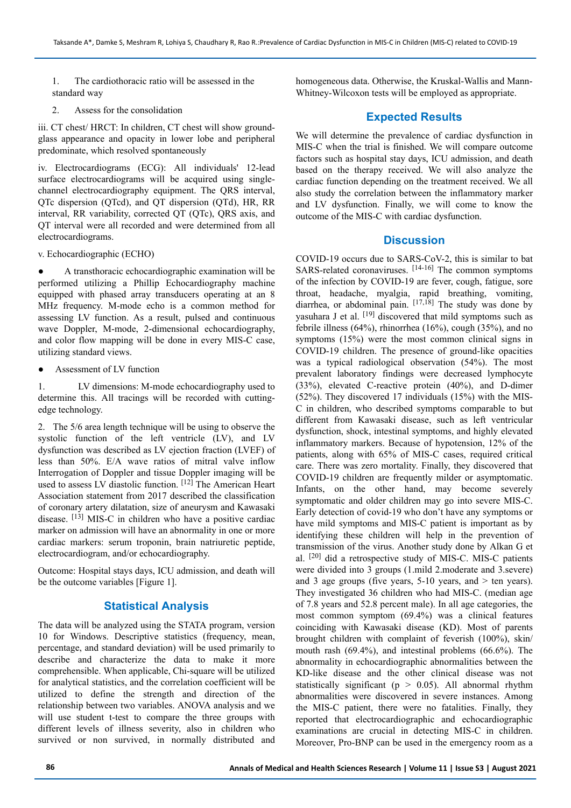1. The cardiothoracic ratio will be assessed in the standard way

2. Assess for the consolidation

iii. CT chest/ HRCT: In children, CT chest will show groundglass appearance and opacity in lower lobe and peripheral predominate, which resolved spontaneously

iv. Electrocardiograms (ECG): All individuals' 12-lead surface electrocardiograms will be acquired using singlechannel electrocardiography equipment. The QRS interval, QTc dispersion (QTcd), and QT dispersion (QTd), HR, RR interval, RR variability, corrected QT (QTc), QRS axis, and QT interval were all recorded and were determined from all electrocardiograms.

v. Echocardiographic (ECHO)

● A transthoracic echocardiographic examination will be performed utilizing a Phillip Echocardiography machine equipped with phased array transducers operating at an 8 MHz frequency. M-mode echo is a common method for assessing LV function. As a result, pulsed and continuous wave Doppler, M-mode, 2-dimensional echocardiography, and color flow mapping will be done in every MIS-C case, utilizing standard views.

Assessment of LV function

1. LV dimensions: M-mode echocardiography used to determine this. All tracings will be recorded with cuttingedge technology.

2. The 5/6 area length technique will be using to observe the systolic function of the left ventricle (LV), and LV dysfunction was described as LV ejection fraction (LVEF) of less than 50%. E/A wave ratios of mitral valve inflow Interrogation of Doppler and tissue Doppler imaging will be used to assess LV diastolic function. [12] The American Heart Association statement from 2017 described the classification of coronary artery dilatation, size of aneurysm and Kawasaki disease. [13] MIS-C in children who have a positive cardiac marker on admission will have an abnormality in one or more cardiac markers: serum troponin, brain natriuretic peptide, electrocardiogram, and/or echocardiography.

Outcome: Hospital stays days, ICU admission, and death will be the outcome variables [Figure 1].

# **Statistical Analysis**

The data will be analyzed using the STATA program, version 10 for Windows. Descriptive statistics (frequency, mean, percentage, and standard deviation) will be used primarily to describe and characterize the data to make it more comprehensible. When applicable, Chi-square will be utilized for analytical statistics, and the correlation coefficient will be utilized to define the strength and direction of the relationship between two variables. ANOVA analysis and we will use student t-test to compare the three groups with different levels of illness severity, also in children who survived or non survived, in normally distributed and homogeneous data. Otherwise, the Kruskal-Wallis and Mann-Whitney-Wilcoxon tests will be employed as appropriate.

# **Expected Results**

We will determine the prevalence of cardiac dysfunction in MIS-C when the trial is finished. We will compare outcome factors such as hospital stay days, ICU admission, and death based on the therapy received. We will also analyze the cardiac function depending on the treatment received. We all also study the correlation between the inflammatory marker and LV dysfunction. Finally, we will come to know the outcome of the MIS-C with cardiac dysfunction.

## **Discussion**

COVID-19 occurs due to SARS-CoV-2, this is similar to bat SARS-related coronaviruses. [14-16] The common symptoms of the infection by COVID-19 are fever, cough, fatigue, sore throat, headache, myalgia, rapid breathing, vomiting, diarrhea, or abdominal pain. [17,18] The study was done by yasuhara J et al. [19] discovered that mild symptoms such as febrile illness (64%), rhinorrhea (16%), cough (35%), and no symptoms (15%) were the most common clinical signs in COVID-19 children. The presence of ground-like opacities was a typical radiological observation (54%). The most prevalent laboratory findings were decreased lymphocyte (33%), elevated C-reactive protein (40%), and D-dimer (52%). They discovered 17 individuals (15%) with the MIS-C in children, who described symptoms comparable to but different from Kawasaki disease, such as left ventricular dysfunction, shock, intestinal symptoms, and highly elevated inflammatory markers. Because of hypotension, 12% of the patients, along with 65% of MIS-C cases, required critical care. There was zero mortality. Finally, they discovered that COVID-19 children are frequently milder or asymptomatic. Infants, on the other hand, may become severely symptomatic and older children may go into severe MIS-C. Early detection of covid-19 who don't have any symptoms or have mild symptoms and MIS-C patient is important as by identifying these children will help in the prevention of transmission of the virus. Another study done by Alkan G et al. [20] did a retrospective study of MIS-C. MIS-C patients were divided into 3 groups (1.mild 2.moderate and 3.severe) and 3 age groups (five years,  $5-10$  years, and  $>$  ten years). They investigated 36 children who had MIS-C. (median age of 7.8 years and 52.8 percent male). In all age categories, the most common symptom (69.4%) was a clinical features coinciding with Kawasaki disease (KD). Most of parents brought children with complaint of feverish (100%), skin/ mouth rash (69.4%), and intestinal problems (66.6%). The abnormality in echocardiographic abnormalities between the KD-like disease and the other clinical disease was not statistically significant ( $p > 0.05$ ). All abnormal rhythm abnormalities were discovered in severe instances. Among the MIS-C patient, there were no fatalities. Finally, they reported that electrocardiographic and echocardiographic examinations are crucial in detecting MIS-C in children. Moreover, Pro-BNP can be used in the emergency room as a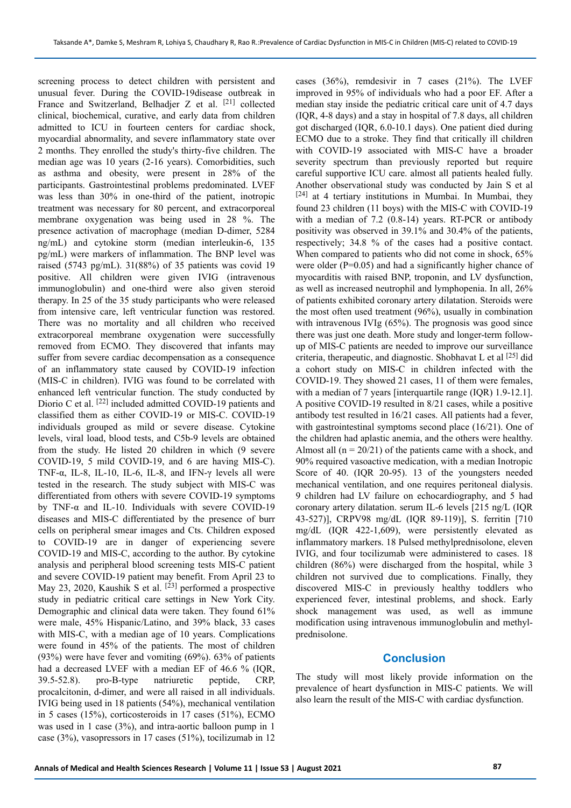screening process to detect children with persistent and unusual fever. During the COVID-19disease outbreak in France and Switzerland, Belhadjer Z et al. [21] collected clinical, biochemical, curative, and early data from children admitted to ICU in fourteen centers for cardiac shock, myocardial abnormality, and severe inflammatory state over 2 months. They enrolled the study's thirty-five children. The median age was 10 years (2-16 years). Comorbidities, such as asthma and obesity, were present in 28% of the participants. Gastrointestinal problems predominated. LVEF was less than 30% in one-third of the patient, inotropic treatment was necessary for 80 percent, and extracorporeal membrane oxygenation was being used in 28 %. The presence activation of macrophage (median D-dimer, 5284 ng/mL) and cytokine storm (median interleukin-6, 135 pg/mL) were markers of inflammation. The BNP level was raised (5743 pg/mL). 31(88%) of 35 patients was covid 19 positive. All children were given IVIG (intravenous immunoglobulin) and one-third were also given steroid therapy. In 25 of the 35 study participants who were released from intensive care, left ventricular function was restored. There was no mortality and all children who received extracorporeal membrane oxygenation were successfully removed from ECMO. They discovered that infants may suffer from severe cardiac decompensation as a consequence of an inflammatory state caused by COVID-19 infection (MIS-C in children). IVIG was found to be correlated with enhanced left ventricular function. The study conducted by Diorio C et al. [22] included admitted COVID-19 patients and classified them as either COVID-19 or MIS-C. COVID-19 individuals grouped as mild or severe disease. Cytokine levels, viral load, blood tests, and C5b-9 levels are obtained from the study. He listed 20 children in which (9 severe COVID-19, 5 mild COVID-19, and 6 are having MIS-C). TNF- $\alpha$ , IL-8, IL-10, IL-6, IL-8, and IFN- $\gamma$  levels all were tested in the research. The study subject with MIS-C was differentiated from others with severe COVID-19 symptoms by TNF-α and IL-10. Individuals with severe COVID-19 diseases and MIS-C differentiated by the presence of burr cells on peripheral smear images and Cts. Children exposed to COVID-19 are in danger of experiencing severe COVID-19 and MIS-C, according to the author. By cytokine analysis and peripheral blood screening tests MIS-C patient and severe COVID-19 patient may benefit. From April 23 to May 23, 2020, Kaushik S et al. <sup>[23]</sup> performed a prospective study in pediatric critical care settings in New York City. Demographic and clinical data were taken. They found 61% were male, 45% Hispanic/Latino, and 39% black, 33 cases with MIS-C, with a median age of 10 years. Complications were found in 45% of the patients. The most of children (93%) were have fever and vomiting (69%). 63% of patients had a decreased LVEF with a median EF of 46.6 % (IQR, 39.5-52.8). pro-B-type natriuretic peptide, CRP, procalcitonin, d-dimer, and were all raised in all individuals. IVIG being used in 18 patients (54%), mechanical ventilation in 5 cases (15%), corticosteroids in 17 cases (51%), ECMO was used in 1 case (3%), and intra-aortic balloon pump in 1 case (3%), vasopressors in 17 cases (51%), tocilizumab in 12

cases (36%), remdesivir in 7 cases (21%). The LVEF improved in 95% of individuals who had a poor EF. After a median stay inside the pediatric critical care unit of 4.7 days (IQR, 4-8 days) and a stay in hospital of 7.8 days, all children got discharged (IQR, 6.0-10.1 days). One patient died during ECMO due to a stroke. They find that critically ill children with COVID-19 associated with MIS-C have a broader severity spectrum than previously reported but require careful supportive ICU care. almost all patients healed fully. Another observational study was conducted by Jain S et al [24] at 4 tertiary institutions in Mumbai. In Mumbai, they found 23 children (11 boys) with the MIS-C with COVID-19 with a median of 7.2 (0.8-14) years. RT-PCR or antibody positivity was observed in 39.1% and 30.4% of the patients, respectively; 34.8 % of the cases had a positive contact. When compared to patients who did not come in shock, 65% were older (P=0.05) and had a significantly higher chance of myocarditis with raised BNP, troponin, and LV dysfunction, as well as increased neutrophil and lymphopenia. In all, 26% of patients exhibited coronary artery dilatation. Steroids were the most often used treatment (96%), usually in combination with intravenous IVIg (65%). The prognosis was good since there was just one death. More study and longer-term followup of MIS-C patients are needed to improve our surveillance criteria, therapeutic, and diagnostic. Shobhavat L et al [25] did a cohort study on MIS-C in children infected with the COVID-19. They showed 21 cases, 11 of them were females, with a median of 7 years [interquartile range (IQR) 1.9-12.1]. A positive COVID-19 resulted in 8/21 cases, while a positive antibody test resulted in 16/21 cases. All patients had a fever, with gastrointestinal symptoms second place (16/21). One of the children had aplastic anemia, and the others were healthy. Almost all  $(n = 20/21)$  of the patients came with a shock, and 90% required vasoactive medication, with a median Inotropic Score of 40. (IQR 20-95). 13 of the youngsters needed mechanical ventilation, and one requires peritoneal dialysis. 9 children had LV failure on echocardiography, and 5 had coronary artery dilatation. serum IL-6 levels [215 ng/L (IQR 43-527)], CRPV98 mg/dL (IQR 89-119)], S. ferritin [710 mg/dL (IQR 422-1,609), were persistently elevated as inflammatory markers. 18 Pulsed methylprednisolone, eleven IVIG, and four tocilizumab were administered to cases. 18 children (86%) were discharged from the hospital, while 3 children not survived due to complications. Finally, they discovered MIS-C in previously healthy toddlers who experienced fever, intestinal problems, and shock. Early shock management was used, as well as immune modification using intravenous immunoglobulin and methylprednisolone.

### **Conclusion**

The study will most likely provide information on the prevalence of heart dysfunction in MIS-C patients. We will also learn the result of the MIS-C with cardiac dysfunction.